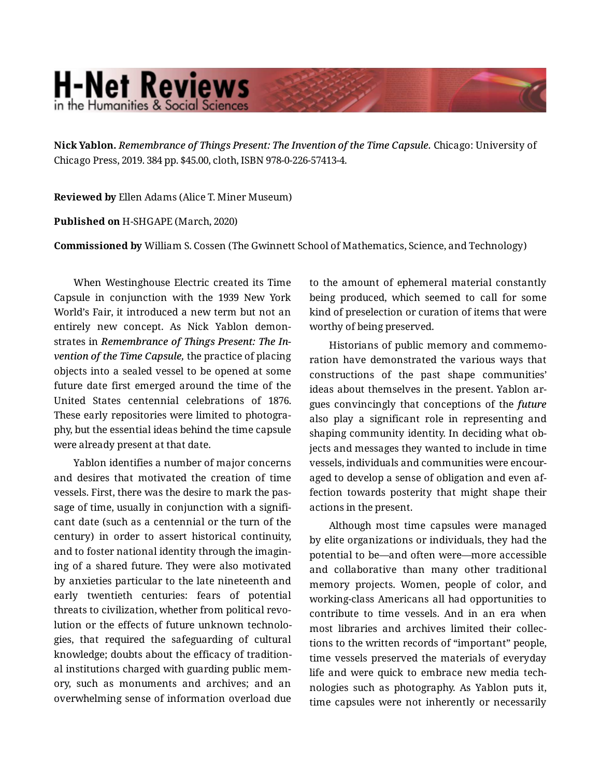## **H-Net Reviews** in the Humanities & Social Scienc

**Nick Yablon.** *Remembrance of Things Present: The Invention of the Time Capsule.* Chicago: University of Chicago Press, 2019. 384 pp. \$45.00, cloth, ISBN 978-0-226-57413-4.

**Reviewed by** Ellen Adams (Alice T. Miner Museum)

**Published on** H-SHGAPE (March, 2020)

**Commissioned by** William S. Cossen (The Gwinnett School of Mathematics, Science, and Technology)

When Westinghouse Electric created its Time Capsule in conjunction with the 1939 New York World's Fair, it introduced a new term but not an entirely new concept. As Nick Yablon demonstrates in *Remembrance of Things Present: The In‐ vention of the Time Capsule,* the practice of placing objects into a sealed vessel to be opened at some future date first emerged around the time of the United States centennial celebrations of 1876. These early repositories were limited to photogra‐ phy, but the essential ideas behind the time capsule were already present at that date.

Yablon identifies a number of major concerns and desires that motivated the creation of time vessels. First, there was the desire to mark the pas‐ sage of time, usually in conjunction with a significant date (such as a centennial or the turn of the century) in order to assert historical continuity, and to foster national identity through the imagin‐ ing of a shared future. They were also motivated by anxieties particular to the late nineteenth and early twentieth centuries: fears of potential threats to civilization, whether from political revo‐ lution or the effects of future unknown technolo‐ gies, that required the safeguarding of cultural knowledge; doubts about the efficacy of tradition‐ al institutions charged with guarding public mem‐ ory, such as monuments and archives; and an overwhelming sense of information overload due

to the amount of ephemeral material constantly being produced, which seemed to call for some kind of preselection or curation of items that were worthy of being preserved.

Historians of public memory and commemo‐ ration have demonstrated the various ways that constructions of the past shape communities' ideas about themselves in the present. Yablon argues convincingly that conceptions of the *future* also play a significant role in representing and shaping community identity. In deciding what ob‐ jects and messages they wanted to include in time vessels, individuals and communities were encour‐ aged to develop a sense of obligation and even af‐ fection towards posterity that might shape their actions in the present.

Although most time capsules were managed by elite organizations or individuals, they had the potential to be—and often were—more accessible and collaborative than many other traditional memory projects. Women, people of color, and working-class Americans all had opportunities to contribute to time vessels. And in an era when most libraries and archives limited their collec‐ tions to the written records of "important" people, time vessels preserved the materials of everyday life and were quick to embrace new media tech‐ nologies such as photography. As Yablon puts it, time capsules were not inherently or necessarily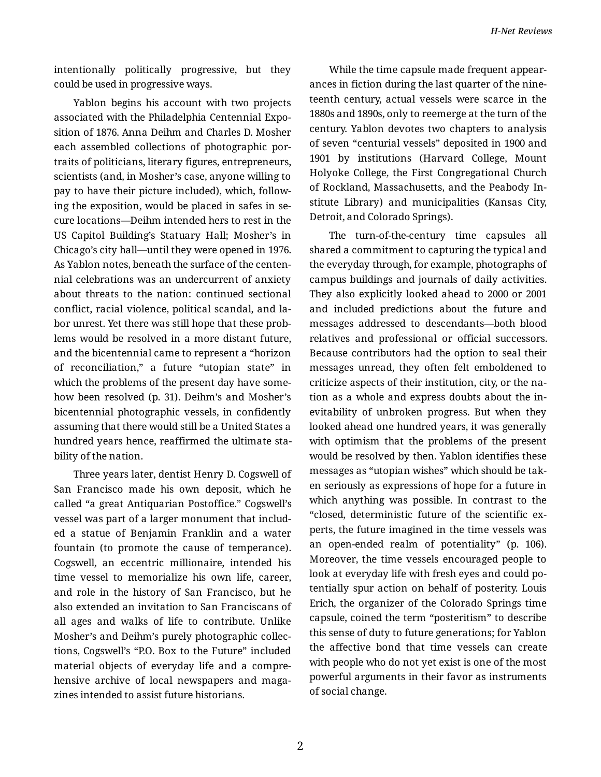intentionally politically progressive, but they could be used in progressive ways.

Yablon begins his account with two projects associated with the Philadelphia Centennial Expo‐ sition of 1876. Anna Deihm and Charles D. Mosher each assembled collections of photographic por‐ traits of politicians, literary figures, entrepreneurs, scientists (and, in Mosher's case, anyone willing to pay to have their picture included), which, follow‐ ing the exposition, would be placed in safes in secure locations—Deihm intended hers to rest in the US Capitol Building's Statuary Hall; Mosher's in Chicago's city hall—until they were opened in 1976. As Yablon notes, beneath the surface of the centen‐ nial celebrations was an undercurrent of anxiety about threats to the nation: continued sectional conflict, racial violence, political scandal, and la‐ bor unrest. Yet there was still hope that these prob‐ lems would be resolved in a more distant future, and the bicentennial came to represent a "horizon of reconciliation," a future "utopian state" in which the problems of the present day have some‐ how been resolved (p. 31). Deihm's and Mosher's bicentennial photographic vessels, in confidently assuming that there would still be a United States a hundred years hence, reaffirmed the ultimate sta‐ bility of the nation.

Three years later, dentist Henry D. Cogswell of San Francisco made his own deposit, which he called "a great Antiquarian Postoffice." Cogswell's vessel was part of a larger monument that includ‐ ed a statue of Benjamin Franklin and a water fountain (to promote the cause of temperance). Cogswell, an eccentric millionaire, intended his time vessel to memorialize his own life, career, and role in the history of San Francisco, but he also extended an invitation to San Franciscans of all ages and walks of life to contribute. Unlike Mosher's and Deihm's purely photographic collec‐ tions, Cogswell's "P.O. Box to the Future" included material objects of everyday life and a compre‐ hensive archive of local newspapers and maga‐ zines intended to assist future historians.

While the time capsule made frequent appear‐ ances in fiction during the last quarter of the nine‐ teenth century, actual vessels were scarce in the 1880s and 1890s, only to reemerge at the turn of the century. Yablon devotes two chapters to analysis of seven "centurial vessels" deposited in 1900 and 1901 by institutions (Harvard College, Mount Holyoke College, the First Congregational Church of Rockland, Massachusetts, and the Peabody In‐ stitute Library) and municipalities (Kansas City, Detroit, and Colorado Springs).

The turn-of-the-century time capsules all shared a commitment to capturing the typical and the everyday through, for example, photographs of campus buildings and journals of daily activities. They also explicitly looked ahead to 2000 or 2001 and included predictions about the future and messages addressed to descendants—both blood relatives and professional or official successors. Because contributors had the option to seal their messages unread, they often felt emboldened to criticize aspects of their institution, city, or the na‐ tion as a whole and express doubts about the in‐ evitability of unbroken progress. But when they looked ahead one hundred years, it was generally with optimism that the problems of the present would be resolved by then. Yablon identifies these messages as "utopian wishes" which should be tak‐ en seriously as expressions of hope for a future in which anything was possible. In contrast to the "closed, deterministic future of the scientific ex‐ perts, the future imagined in the time vessels was an open-ended realm of potentiality" (p. 106). Moreover, the time vessels encouraged people to look at everyday life with fresh eyes and could po‐ tentially spur action on behalf of posterity. Louis Erich, the organizer of the Colorado Springs time capsule, coined the term "posteritism" to describe this sense of duty to future generations; for Yablon the affective bond that time vessels can create with people who do not yet exist is one of the most powerful arguments in their favor as instruments of social change.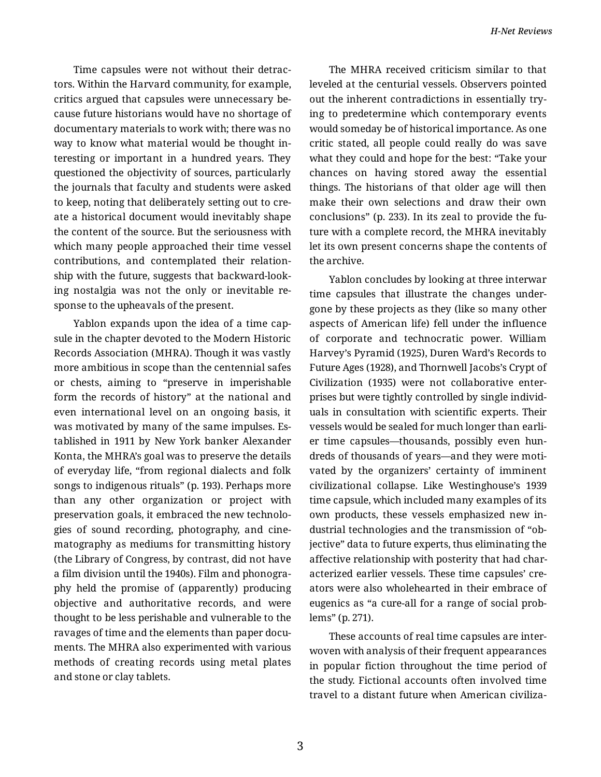Time capsules were not without their detrac‐ tors. Within the Harvard community, for example, critics argued that capsules were unnecessary be‐ cause future historians would have no shortage of documentary materials to work with; there was no way to know what material would be thought in‐ teresting or important in a hundred years. They questioned the objectivity of sources, particularly the journals that faculty and students were asked to keep, noting that deliberately setting out to cre‐ ate a historical document would inevitably shape the content of the source. But the seriousness with which many people approached their time vessel contributions, and contemplated their relation‐ ship with the future, suggests that backward-look‐ ing nostalgia was not the only or inevitable re‐ sponse to the upheavals of the present.

Yablon expands upon the idea of a time cap‐ sule in the chapter devoted to the Modern Historic Records Association (MHRA). Though it was vastly more ambitious in scope than the centennial safes or chests, aiming to "preserve in imperishable form the records of history" at the national and even international level on an ongoing basis, it was motivated by many of the same impulses. Es‐ tablished in 1911 by New York banker Alexander Konta, the MHRA's goal was to preserve the details of everyday life, "from regional dialects and folk songs to indigenous rituals" (p. 193). Perhaps more than any other organization or project with preservation goals, it embraced the new technolo‐ gies of sound recording, photography, and cine‐ matography as mediums for transmitting history (the Library of Congress, by contrast, did not have a film division until the 1940s). Film and phonogra‐ phy held the promise of (apparently) producing objective and authoritative records, and were thought to be less perishable and vulnerable to the ravages of time and the elements than paper documents. The MHRA also experimented with various methods of creating records using metal plates and stone or clay tablets.

The MHRA received criticism similar to that leveled at the centurial vessels. Observers pointed out the inherent contradictions in essentially try‐ ing to predetermine which contemporary events would someday be of historical importance. As one critic stated, all people could really do was save what they could and hope for the best: "Take your chances on having stored away the essential things. The historians of that older age will then make their own selections and draw their own conclusions" (p. 233). In its zeal to provide the fu‐ ture with a complete record, the MHRA inevitably let its own present concerns shape the contents of the archive.

Yablon concludes by looking at three interwar time capsules that illustrate the changes under‐ gone by these projects as they (like so many other aspects of American life) fell under the influence of corporate and technocratic power. William Harvey's Pyramid (1925), Duren Ward's Records to Future Ages (1928), and Thornwell Jacobs's Crypt of Civilization (1935) were not collaborative enter‐ prises but were tightly controlled by single individ‐ uals in consultation with scientific experts. Their vessels would be sealed for much longer than earli‐ er time capsules—thousands, possibly even hun‐ dreds of thousands of years—and they were moti‐ vated by the organizers' certainty of imminent civilizational collapse. Like Westinghouse's 1939 time capsule, which included many examples of its own products, these vessels emphasized new in‐ dustrial technologies and the transmission of "ob‐ jective" data to future experts, thus eliminating the affective relationship with posterity that had char‐ acterized earlier vessels. These time capsules' cre‐ ators were also wholehearted in their embrace of eugenics as "a cure-all for a range of social prob‐ lems" (p. 271).

These accounts of real time capsules are inter‐ woven with analysis of their frequent appearances in popular fiction throughout the time period of the study. Fictional accounts often involved time travel to a distant future when American civiliza‐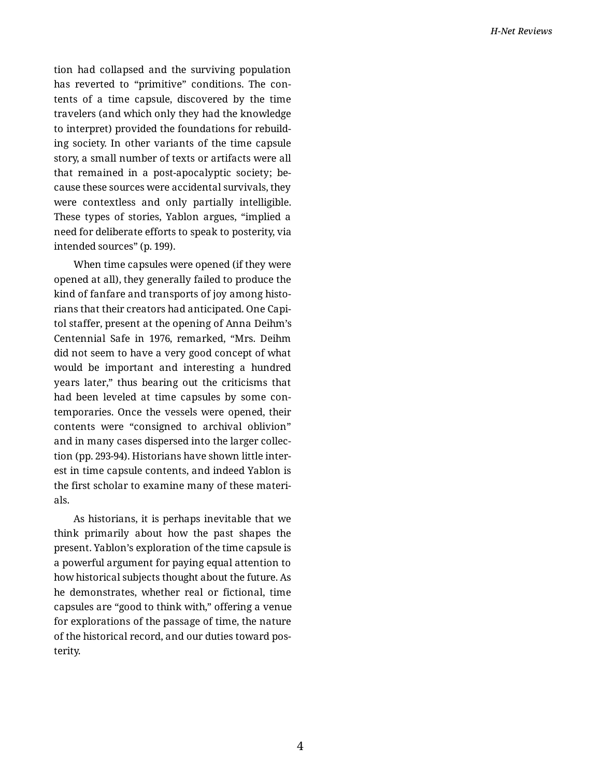tion had collapsed and the surviving population has reverted to "primitive" conditions. The contents of a time capsule, discovered by the time travelers (and which only they had the knowledge to interpret) provided the foundations for rebuild‐ ing society. In other variants of the time capsule story, a small number of texts or artifacts were all that remained in a post-apocalyptic society; be‐ cause these sources were accidental survivals, they were contextless and only partially intelligible. These types of stories, Yablon argues, "implied a need for deliberate efforts to speak to posterity, via intended sources" (p. 199).

When time capsules were opened (if they were opened at all), they generally failed to produce the kind of fanfare and transports of joy among histo‐ rians that their creators had anticipated. One Capi‐ tol staffer, present at the opening of Anna Deihm's Centennial Safe in 1976, remarked, "Mrs. Deihm did not seem to have a very good concept of what would be important and interesting a hundred years later," thus bearing out the criticisms that had been leveled at time capsules by some con‐ temporaries. Once the vessels were opened, their contents were "consigned to archival oblivion" and in many cases dispersed into the larger collec‐ tion (pp. 293-94). Historians have shown little inter‐ est in time capsule contents, and indeed Yablon is the first scholar to examine many of these materi‐ als.

As historians, it is perhaps inevitable that we think primarily about how the past shapes the present. Yablon's exploration of the time capsule is a powerful argument for paying equal attention to how historical subjects thought about the future. As he demonstrates, whether real or fictional, time capsules are "good to think with," offering a venue for explorations of the passage of time, the nature of the historical record, and our duties toward pos‐ terity.